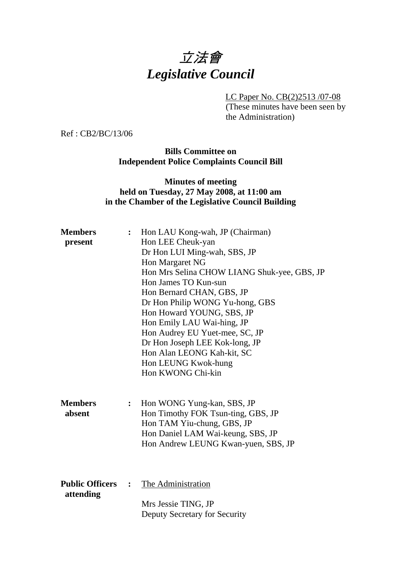# 立法會 *Legislative Council*

LC Paper No. CB(2)2513 /07-08

(These minutes have been seen by the Administration)

Ref : CB2/BC/13/06

**Bills Committee on Independent Police Complaints Council Bill** 

#### **Minutes of meeting held on Tuesday, 27 May 2008, at 11:00 am in the Chamber of the Legislative Council Building**

| <b>Members</b>         | $\ddot{\cdot}$ | Hon LAU Kong-wah, JP (Chairman)             |
|------------------------|----------------|---------------------------------------------|
| present                |                | Hon LEE Cheuk-yan                           |
|                        |                | Dr Hon LUI Ming-wah, SBS, JP                |
|                        |                | Hon Margaret NG                             |
|                        |                | Hon Mrs Selina CHOW LIANG Shuk-yee, GBS, JP |
|                        |                | Hon James TO Kun-sun                        |
|                        |                | Hon Bernard CHAN, GBS, JP                   |
|                        |                | Dr Hon Philip WONG Yu-hong, GBS             |
|                        |                | Hon Howard YOUNG, SBS, JP                   |
|                        |                | Hon Emily LAU Wai-hing, JP                  |
|                        |                | Hon Audrey EU Yuet-mee, SC, JP              |
|                        |                | Dr Hon Joseph LEE Kok-long, JP              |
|                        |                | Hon Alan LEONG Kah-kit, SC                  |
|                        |                | Hon LEUNG Kwok-hung                         |
|                        |                | Hon KWONG Chi-kin                           |
|                        |                |                                             |
|                        |                |                                             |
| <b>Members</b>         | $\ddot{\cdot}$ | Hon WONG Yung-kan, SBS, JP                  |
| absent                 |                | Hon Timothy FOK Tsun-ting, GBS, JP          |
|                        |                | Hon TAM Yiu-chung, GBS, JP                  |
|                        |                | Hon Daniel LAM Wai-keung, SBS, JP           |
|                        |                | Hon Andrew LEUNG Kwan-yuen, SBS, JP         |
|                        |                |                                             |
|                        |                |                                             |
| <b>Public Officers</b> | $\ddot{\cdot}$ | The Administration                          |
| attending              |                |                                             |
|                        |                | Mrs Jessie TING, JP                         |
|                        |                | Deputy Secretary for Security               |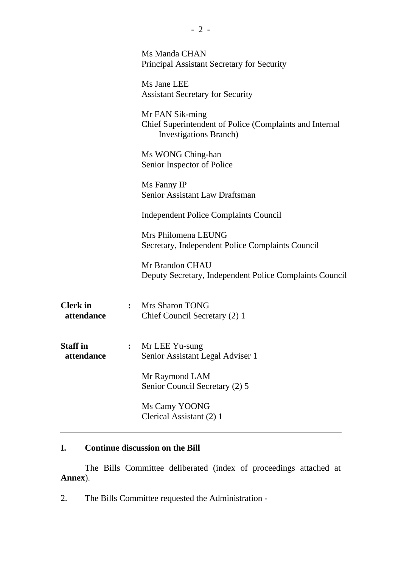|                               |                | Ms Manda CHAN<br>Principal Assistant Secretary for Security                                                  |
|-------------------------------|----------------|--------------------------------------------------------------------------------------------------------------|
|                               |                | Ms Jane LEE<br><b>Assistant Secretary for Security</b>                                                       |
|                               |                | Mr FAN Sik-ming<br>Chief Superintendent of Police (Complaints and Internal<br><b>Investigations Branch</b> ) |
|                               |                | Ms WONG Ching-han<br>Senior Inspector of Police                                                              |
|                               |                | Ms Fanny IP<br>Senior Assistant Law Draftsman                                                                |
|                               |                | <b>Independent Police Complaints Council</b>                                                                 |
|                               |                | Mrs Philomena LEUNG<br>Secretary, Independent Police Complaints Council                                      |
|                               |                | Mr Brandon CHAU<br>Deputy Secretary, Independent Police Complaints Council                                   |
| <b>Clerk</b> in<br>attendance | $\ddot{\cdot}$ | Mrs Sharon TONG<br>Chief Council Secretary (2) 1                                                             |
| <b>Staff</b> in<br>attendance |                | Mr LEE Yu-sung<br>Senior Assistant Legal Adviser 1                                                           |
|                               |                | Mr Raymond LAM<br>Senior Council Secretary (2) 5                                                             |
|                               |                | Ms Camy YOONG<br>Clerical Assistant (2) 1                                                                    |
|                               |                |                                                                                                              |

## **I. Continue discussion on the Bill**

1. The Bills Committee deliberated (index of proceedings attached at **Annex**).

2. The Bills Committee requested the Administration -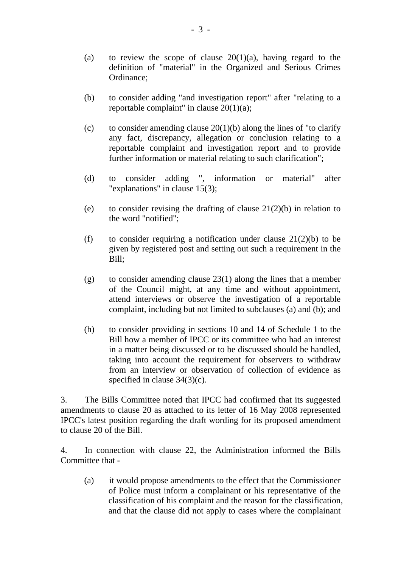- (a) to review the scope of clause  $20(1)(a)$ , having regard to the definition of "material" in the Organized and Serious Crimes Ordinance;
- (b) to consider adding "and investigation report" after "relating to a reportable complaint" in clause 20(1)(a);
- (c) to consider amending clause  $20(1)(b)$  along the lines of "to clarify" any fact, discrepancy, allegation or conclusion relating to a reportable complaint and investigation report and to provide further information or material relating to such clarification";
- (d) to consider adding ", information or material" after "explanations" in clause 15(3);
- (e) to consider revising the drafting of clause  $21(2)(b)$  in relation to the word "notified";
- (f) to consider requiring a notification under clause  $21(2)(b)$  to be given by registered post and setting out such a requirement in the Bill;
- (g) to consider amending clause 23(1) along the lines that a member of the Council might, at any time and without appointment, attend interviews or observe the investigation of a reportable complaint, including but not limited to subclauses (a) and (b); and
- (h) to consider providing in sections 10 and 14 of Schedule 1 to the Bill how a member of IPCC or its committee who had an interest in a matter being discussed or to be discussed should be handled, taking into account the requirement for observers to withdraw from an interview or observation of collection of evidence as specified in clause  $34(3)(c)$ .

3. The Bills Committee noted that IPCC had confirmed that its suggested amendments to clause 20 as attached to its letter of 16 May 2008 represented IPCC's latest position regarding the draft wording for its proposed amendment to clause 20 of the Bill.

4. In connection with clause 22, the Administration informed the Bills Committee that -

(a) it would propose amendments to the effect that the Commissioner of Police must inform a complainant or his representative of the classification of his complaint and the reason for the classification, and that the clause did not apply to cases where the complainant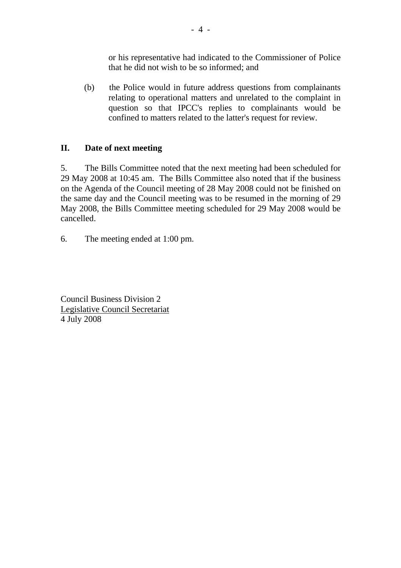or his representative had indicated to the Commissioner of Police that he did not wish to be so informed; and

(b) the Police would in future address questions from complainants relating to operational matters and unrelated to the complaint in question so that IPCC's replies to complainants would be confined to matters related to the latter's request for review.

## **II. Date of next meeting**

5. The Bills Committee noted that the next meeting had been scheduled for 29 May 2008 at 10:45 am. The Bills Committee also noted that if the business on the Agenda of the Council meeting of 28 May 2008 could not be finished on the same day and the Council meeting was to be resumed in the morning of 29 May 2008, the Bills Committee meeting scheduled for 29 May 2008 would be cancelled.

6. The meeting ended at 1:00 pm.

Council Business Division 2 Legislative Council Secretariat 4 July 2008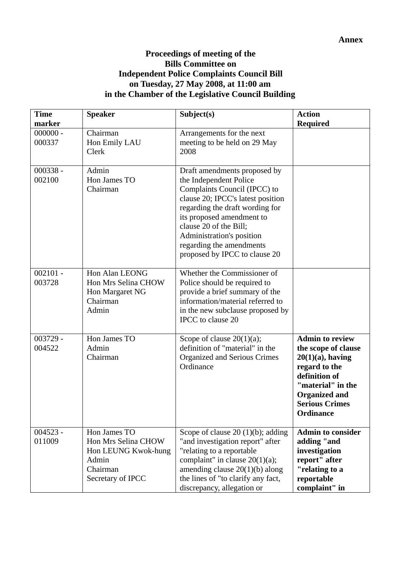### **Proceedings of meeting of the Bills Committee on Independent Police Complaints Council Bill on Tuesday, 27 May 2008, at 11:00 am in the Chamber of the Legislative Council Building**

| <b>Time</b><br>marker | <b>Speaker</b>                                                                                       | Subject(s)                                                                                                                                                                                                                                                                                                      | <b>Action</b><br><b>Required</b>                                                                                                                                                                 |
|-----------------------|------------------------------------------------------------------------------------------------------|-----------------------------------------------------------------------------------------------------------------------------------------------------------------------------------------------------------------------------------------------------------------------------------------------------------------|--------------------------------------------------------------------------------------------------------------------------------------------------------------------------------------------------|
| $000000 -$<br>000337  | Chairman<br>Hon Emily LAU<br>Clerk                                                                   | Arrangements for the next<br>meeting to be held on 29 May<br>2008                                                                                                                                                                                                                                               |                                                                                                                                                                                                  |
| $000338 -$<br>002100  | Admin<br>Hon James TO<br>Chairman                                                                    | Draft amendments proposed by<br>the Independent Police<br>Complaints Council (IPCC) to<br>clause 20; IPCC's latest position<br>regarding the draft wording for<br>its proposed amendment to<br>clause 20 of the Bill;<br>Administration's position<br>regarding the amendments<br>proposed by IPCC to clause 20 |                                                                                                                                                                                                  |
| $002101 -$<br>003728  | Hon Alan LEONG<br>Hon Mrs Selina CHOW<br>Hon Margaret NG<br>Chairman<br>Admin                        | Whether the Commissioner of<br>Police should be required to<br>provide a brief summary of the<br>information/material referred to<br>in the new subclause proposed by<br>IPCC to clause 20                                                                                                                      |                                                                                                                                                                                                  |
| $003729 -$<br>004522  | Hon James TO<br>Admin<br>Chairman                                                                    | Scope of clause $20(1)(a)$ ;<br>definition of "material" in the<br>Organized and Serious Crimes<br>Ordinance                                                                                                                                                                                                    | <b>Admin to review</b><br>the scope of clause<br>$20(1)(a)$ , having<br>regard to the<br>definition of<br>"material" in the<br><b>Organized and</b><br><b>Serious Crimes</b><br><b>Ordinance</b> |
| $004523 -$<br>011009  | Hon James TO<br>Hon Mrs Selina CHOW<br>Hon LEUNG Kwok-hung<br>Admin<br>Chairman<br>Secretary of IPCC | Scope of clause 20 $(1)(b)$ ; adding<br>"and investigation report" after<br>"relating to a reportable"<br>complaint" in clause $20(1)(a)$ ;<br>amending clause $20(1)(b)$ along<br>the lines of "to clarify any fact,<br>discrepancy, allegation or                                                             | <b>Admin to consider</b><br>adding "and<br>investigation<br>report" after<br>"relating to a<br>reportable<br>complaint" in                                                                       |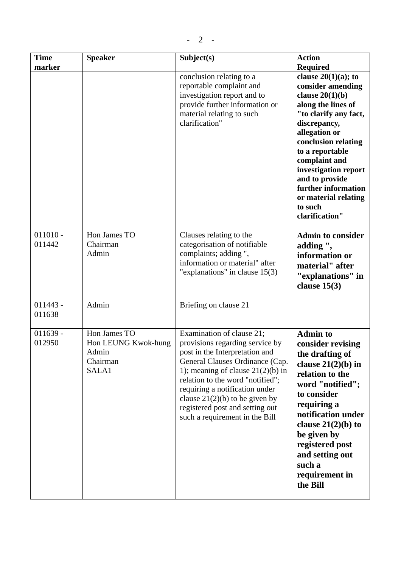| <b>Time</b><br>marker | <b>Speaker</b>                                                    | Subject(s)<br>conclusion relating to a<br>reportable complaint and<br>investigation report and to<br>provide further information or<br>material relating to such<br>clarification"                                                                                                                                                                      | <b>Action</b><br><b>Required</b><br>clause $20(1)(a)$ ; to<br>consider amending<br>clause $20(1)(b)$<br>along the lines of<br>"to clarify any fact,<br>discrepancy,<br>allegation or<br>conclusion relating<br>to a reportable<br>complaint and<br>investigation report<br>and to provide<br>further information<br>or material relating<br>to such<br>clarification" |
|-----------------------|-------------------------------------------------------------------|---------------------------------------------------------------------------------------------------------------------------------------------------------------------------------------------------------------------------------------------------------------------------------------------------------------------------------------------------------|-----------------------------------------------------------------------------------------------------------------------------------------------------------------------------------------------------------------------------------------------------------------------------------------------------------------------------------------------------------------------|
| $011010 -$<br>011442  | Hon James TO<br>Chairman<br>Admin                                 | Clauses relating to the<br>categorisation of notifiable<br>complaints; adding",<br>information or material" after<br>"explanations" in clause $15(3)$                                                                                                                                                                                                   | <b>Admin to consider</b><br>adding",<br>information or<br>material" after<br>"explanations" in<br>clause $15(3)$                                                                                                                                                                                                                                                      |
| $011443 -$<br>011638  | Admin                                                             | Briefing on clause 21                                                                                                                                                                                                                                                                                                                                   |                                                                                                                                                                                                                                                                                                                                                                       |
| $011639 -$<br>012950  | Hon James TO<br>Hon LEUNG Kwok-hung<br>Admin<br>Chairman<br>SALA1 | Examination of clause 21;<br>provisions regarding service by<br>post in the Interpretation and<br>General Clauses Ordinance (Cap.<br>1); meaning of clause $21(2)(b)$ in<br>relation to the word "notified";<br>requiring a notification under<br>clause $21(2)(b)$ to be given by<br>registered post and setting out<br>such a requirement in the Bill | <b>Admin to</b><br>consider revising<br>the drafting of<br>clause $21(2)(b)$ in<br>relation to the<br>word "notified";<br>to consider<br>requiring a<br>notification under<br>clause $21(2)(b)$ to<br>be given by<br>registered post<br>and setting out<br>such a<br>requirement in<br>the Bill                                                                       |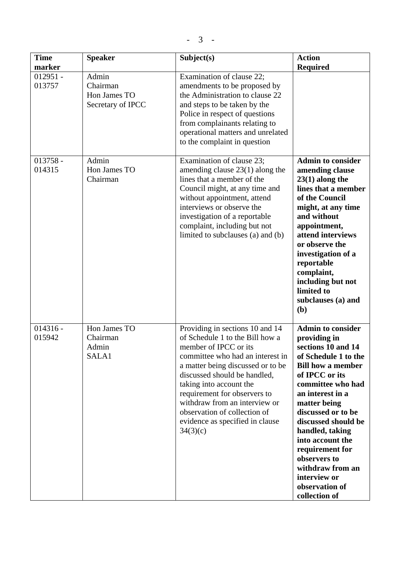| <b>Time</b>                    | <b>Speaker</b>                                         | Subject(s)                                                                                                                                                                                                                                                                                                                                                                      | <b>Action</b>                                                                                                                                                                                                                                                                                                                                                                               |
|--------------------------------|--------------------------------------------------------|---------------------------------------------------------------------------------------------------------------------------------------------------------------------------------------------------------------------------------------------------------------------------------------------------------------------------------------------------------------------------------|---------------------------------------------------------------------------------------------------------------------------------------------------------------------------------------------------------------------------------------------------------------------------------------------------------------------------------------------------------------------------------------------|
| marker<br>$012951 -$<br>013757 | Admin<br>Chairman<br>Hon James TO<br>Secretary of IPCC | Examination of clause 22;<br>amendments to be proposed by<br>the Administration to clause 22<br>and steps to be taken by the<br>Police in respect of questions<br>from complainants relating to<br>operational matters and unrelated<br>to the complaint in question                                                                                                            | <b>Required</b>                                                                                                                                                                                                                                                                                                                                                                             |
| $013758 -$<br>014315           | Admin<br>Hon James TO<br>Chairman                      | Examination of clause 23;<br>amending clause $23(1)$ along the<br>lines that a member of the<br>Council might, at any time and<br>without appointment, attend<br>interviews or observe the<br>investigation of a reportable<br>complaint, including but not<br>limited to subclauses (a) and (b)                                                                                | <b>Admin to consider</b><br>amending clause<br>$23(1)$ along the<br>lines that a member<br>of the Council<br>might, at any time<br>and without<br>appointment,<br>attend interviews<br>or observe the<br>investigation of a<br>reportable<br>complaint,<br>including but not<br>limited to<br>subclauses (a) and<br>(b)                                                                     |
| $014316 -$<br>015942           | Hon James TO<br>Chairman<br>Admin<br>SALA1             | Providing in sections 10 and 14<br>of Schedule 1 to the Bill how a<br>member of IPCC or its<br>committee who had an interest in<br>a matter being discussed or to be<br>discussed should be handled,<br>taking into account the<br>requirement for observers to<br>withdraw from an interview or<br>observation of collection of<br>evidence as specified in clause<br>34(3)(c) | <b>Admin to consider</b><br>providing in<br>sections 10 and 14<br>of Schedule 1 to the<br><b>Bill how a member</b><br>of IPCC or its<br>committee who had<br>an interest in a<br>matter being<br>discussed or to be<br>discussed should be<br>handled, taking<br>into account the<br>requirement for<br>observers to<br>withdraw from an<br>interview or<br>observation of<br>collection of |